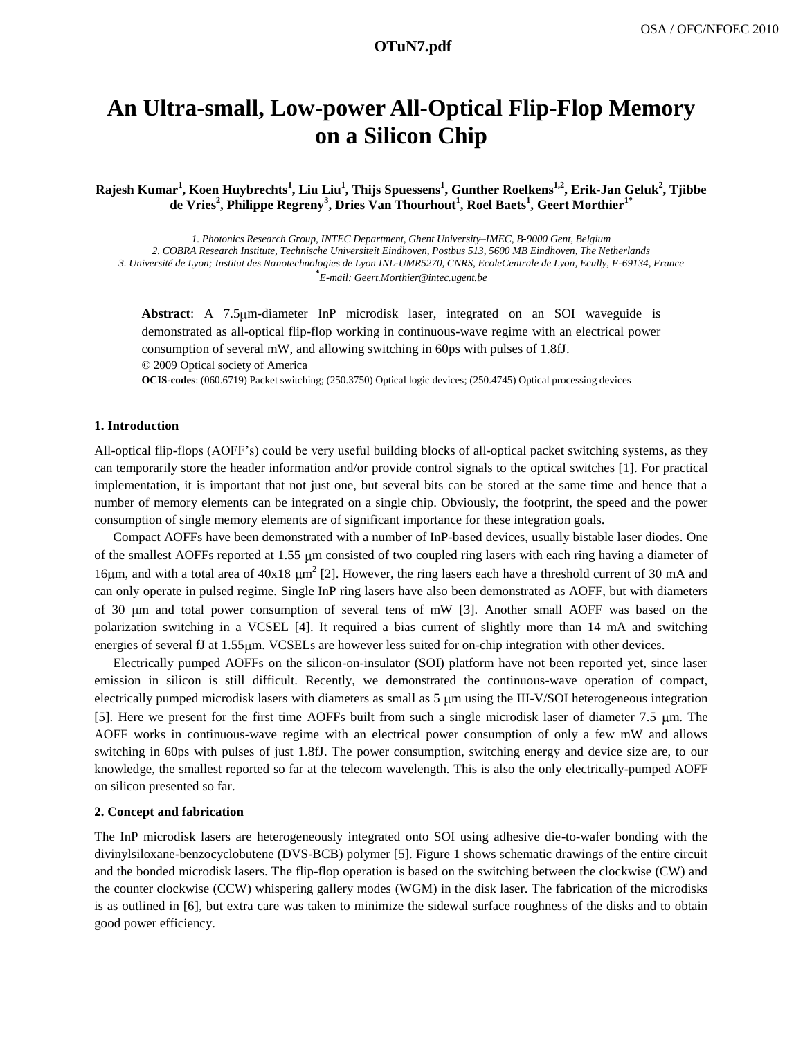# **a1129\_1.pdf OTuN7.pdf**

# **An Ultra-small, Low-power All-Optical Flip-Flop Memory on a Silicon Chip**

**Rajesh Kumar<sup>1</sup> , Koen Huybrechts<sup>1</sup> , Liu Liu<sup>1</sup> , Thijs Spuessens<sup>1</sup> , Gunther Roelkens1,2, Erik-Jan Geluk<sup>2</sup> , Tjibbe de Vries<sup>2</sup> , Philippe Regreny<sup>3</sup> , Dries Van Thourhout<sup>1</sup> , Roel Baets<sup>1</sup> , Geert Morthier1\***

*1. Photonics Research Group, INTEC Department, Ghent University–IMEC, B-9000 Gent, Belgium 2. COBRA Research Institute, Technische Universiteit Eindhoven, Postbus 513, 5600 MB Eindhoven, The Netherlands 3. Université de Lyon; Institut des Nanotechnologies de Lyon INL-UMR5270, CNRS, EcoleCentrale de Lyon, Ecully, F-69134, France* **\*** *E-mail: Geert.Morthier@intec.ugent.be*

**Abstract**: A 7.5 m-diameter InP microdisk laser, integrated on an SOI waveguide is demonstrated as all-optical flip-flop working in continuous-wave regime with an electrical power consumption of several mW, and allowing switching in 60ps with pulses of 1.8fJ.

© 2009 Optical society of America

**OCIS-codes**: (060.6719) Packet switching; (250.3750) Optical logic devices; (250.4745) Optical processing devices

### **1. Introduction**

All-optical flip-flops (AOFF's) could be very useful building blocks of all-optical packet switching systems, as they can temporarily store the header information and/or provide control signals to the optical switches [1]. For practical implementation, it is important that not just one, but several bits can be stored at the same time and hence that a number of memory elements can be integrated on a single chip. Obviously, the footprint, the speed and the power consumption of single memory elements are of significant importance for these integration goals.

Compact AOFFs have been demonstrated with a number of InP-based devices, usually bistable laser diodes. One of the smallest AOFFs reported at 1.55 m consisted of two coupled ring lasers with each ring having a diameter of 16 $\mu$ m, and with a total area of 40x18  $\mu$ m<sup>2</sup> [2]. However, the ring lasers each have a threshold current of 30 mA and can only operate in pulsed regime. Single InP ring lasers have also been demonstrated as AOFF, but with diameters of 30 m and total power consumption of several tens of mW [3]. Another small AOFF was based on the polarization switching in a VCSEL [4]. It required a bias current of slightly more than 14 mA and switching energies of several fJ at 1.55  $\mu$ m. VCSELs are however less suited for on-chip integration with other devices.

Electrically pumped AOFFs on the silicon-on-insulator (SOI) platform have not been reported yet, since laser emission in silicon is still difficult. Recently, we demonstrated the continuous-wave operation of compact, electrically pumped microdisk lasers with diameters as small as 5 µm using the III-V/SOI heterogeneous integration [5]. Here we present for the first time AOFFs built from such a single microdisk laser of diameter 7.5 m. The AOFF works in continuous-wave regime with an electrical power consumption of only a few mW and allows switching in 60ps with pulses of just 1.8fJ. The power consumption, switching energy and device size are, to our knowledge, the smallest reported so far at the telecom wavelength. This is also the only electrically-pumped AOFF on silicon presented so far.

### **2. Concept and fabrication**

The InP microdisk lasers are heterogeneously integrated onto SOI using adhesive die-to-wafer bonding with the divinylsiloxane-benzocyclobutene (DVS-BCB) polymer [5]. Figure 1 shows schematic drawings of the entire circuit and the bonded microdisk lasers. The flip-flop operation is based on the switching between the clockwise (CW) and the counter clockwise (CCW) whispering gallery modes (WGM) in the disk laser. The fabrication of the microdisks is as outlined in [6], but extra care was taken to minimize the sidewal surface roughness of the disks and to obtain good power efficiency.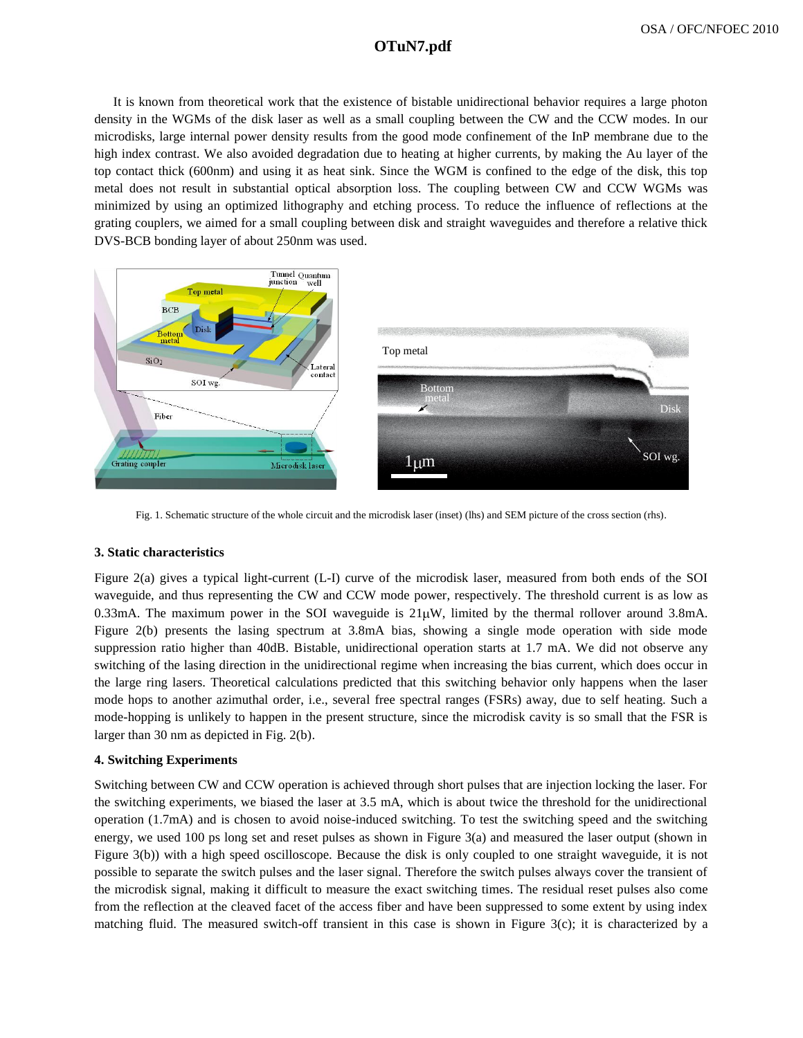# **a1129\_1.pdf OTuN7.pdf**

It is known from theoretical work that the existence of bistable unidirectional behavior requires a large photon density in the WGMs of the disk laser as well as a small coupling between the CW and the CCW modes. In our microdisks, large internal power density results from the good mode confinement of the InP membrane due to the high index contrast. We also avoided degradation due to heating at higher currents, by making the Au layer of the top contact thick (600nm) and using it as heat sink. Since the WGM is confined to the edge of the disk, this top metal does not result in substantial optical absorption loss. The coupling between CW and CCW WGMs was minimized by using an optimized lithography and etching process. To reduce the influence of reflections at the grating couplers, we aimed for a small coupling between disk and straight waveguides and therefore a relative thick DVS-BCB bonding layer of about 250nm was used.



Fig. 1. Schematic structure of the whole circuit and the microdisk laser (inset) (lhs) and SEM picture of the cross section (rhs).

## **3. Static characteristics**

Figure 2(a) gives a typical light-current (L-I) curve of the microdisk laser, measured from both ends of the SOI waveguide, and thus representing the CW and CCW mode power, respectively. The threshold current is as low as 0.33mA. The maximum power in the SOI waveguide is  $21\mu$ W, limited by the thermal rollover around 3.8mA. Figure 2(b) presents the lasing spectrum at 3.8mA bias, showing a single mode operation with side mode suppression ratio higher than 40dB. Bistable, unidirectional operation starts at 1.7 mA. We did not observe any switching of the lasing direction in the unidirectional regime when increasing the bias current, which does occur in the large ring lasers. Theoretical calculations predicted that this switching behavior only happens when the laser mode hops to another azimuthal order, i.e., several free spectral ranges (FSRs) away, due to self heating. Such a mode-hopping is unlikely to happen in the present structure, since the microdisk cavity is so small that the FSR is larger than 30 nm as depicted in Fig. 2(b).

## **4. Switching Experiments**

Switching between CW and CCW operation is achieved through short pulses that are injection locking the laser. For the switching experiments, we biased the laser at 3.5 mA, which is about twice the threshold for the unidirectional operation (1.7mA) and is chosen to avoid noise-induced switching. To test the switching speed and the switching energy, we used 100 ps long set and reset pulses as shown in Figure 3(a) and measured the laser output (shown in Figure 3(b)) with a high speed oscilloscope. Because the disk is only coupled to one straight waveguide, it is not possible to separate the switch pulses and the laser signal. Therefore the switch pulses always cover the transient of the microdisk signal, making it difficult to measure the exact switching times. The residual reset pulses also come from the reflection at the cleaved facet of the access fiber and have been suppressed to some extent by using index matching fluid. The measured switch-off transient in this case is shown in Figure 3(c); it is characterized by a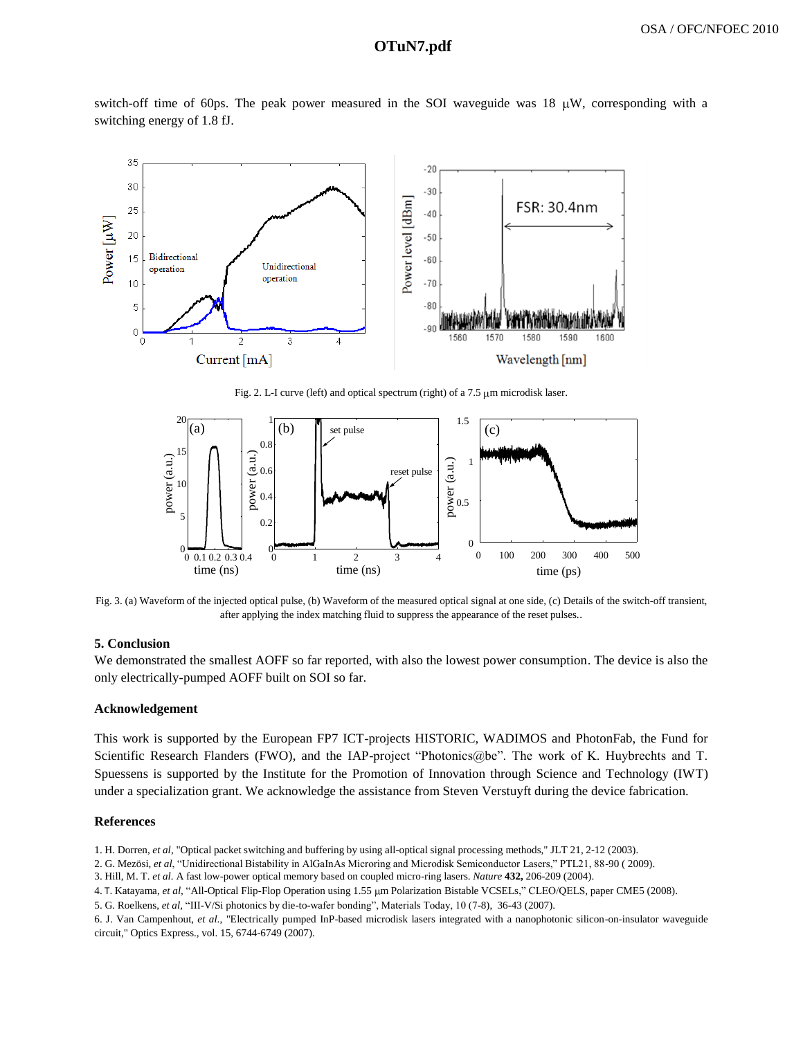# **a1129\_1.pdf OTuN7.pdf**

switch-off time of 60ps. The peak power measured in the SOI waveguide was 18  $\mu$ W, corresponding with a switching energy of 1.8 fJ.



Fig. 2. L-I curve (left) and optical spectrum (right) of a  $7.5 \mu m$  microdisk laser.



Fig. 3. (a) Waveform of the injected optical pulse, (b) Waveform of the measured optical signal at one side, (c) Details of the switch-off transient, after applying the index matching fluid to suppress the appearance of the reset pulses..

#### **5. Conclusion**

We demonstrated the smallest AOFF so far reported, with also the lowest power consumption. The device is also the only electrically-pumped AOFF built on SOI so far.

#### **Acknowledgement**

This work is supported by the European FP7 ICT-projects HISTORIC, WADIMOS and PhotonFab, the Fund for Scientific Research Flanders (FWO), and the IAP-project "Photonics@be". The work of K. Huybrechts and T. Spuessens is supported by the Institute for the Promotion of Innovation through Science and Technology (IWT) under a specialization grant. We acknowledge the assistance from Steven Verstuyft during the device fabrication.

## **References**

- 1. H. Dorren, *et al*, "Optical packet switching and buffering by using all-optical signal processing methods," JLT 21, 2-12 (2003).
- 2. G. Mezösi, *et al*, "Unidirectional Bistability in AlGaInAs Microring and Microdisk Semiconductor Lasers," PTL21, 88-90 ( 2009).
- 3. Hill, M. T. *et al.* A fast low-power optical memory based on coupled micro-ring lasers. *Nature* **432,** 206-209 (2004).
- 4. T. Katayama, *et al*, "All-Optical Flip-Flop Operation using 1.55 m Polarization Bistable VCSELs," CLEO/QELS, paper CME5 (2008).
- 5. G. Roelkens, *et al,* "III-V/Si photonics by die-to-wafer bonding", Materials Today, 10 (7-8), 36-43 (2007).

6. J. Van Campenhout, *et al*., "Electrically pumped InP-based microdisk lasers integrated with a nanophotonic silicon-on-insulator waveguide circuit," Optics Express., vol. 15, 6744-6749 (2007).